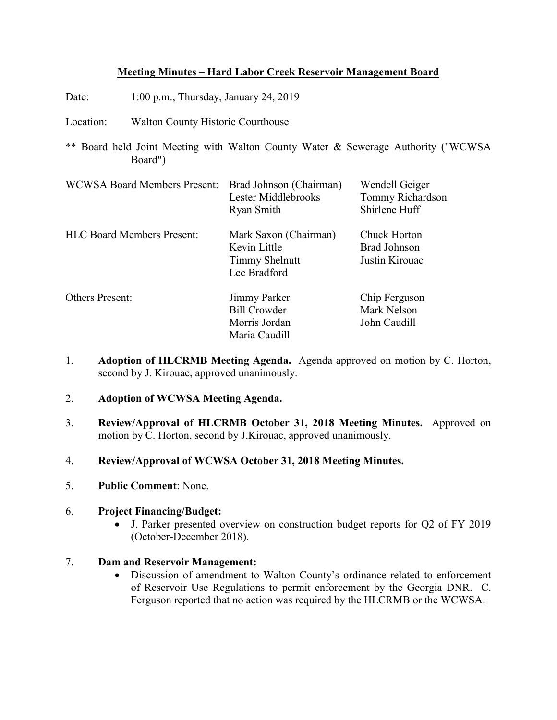# **Meeting Minutes – Hard Labor Creek Reservoir Management Board**

Date: 1:00 p.m., Thursday, January 24, 2019

Location: Walton County Historic Courthouse

\*\* Board held Joint Meeting with Walton County Water & Sewerage Authority ("WCWSA Board")

| <b>WCWSA Board Members Present:</b> | Brad Johnson (Chairman)<br>Lester Middlebrooks<br>Ryan Smith                   | Wendell Geiger<br>Tommy Richardson<br>Shirlene Huff |
|-------------------------------------|--------------------------------------------------------------------------------|-----------------------------------------------------|
| <b>HLC Board Members Present:</b>   | Mark Saxon (Chairman)<br>Kevin Little<br><b>Timmy Shelnutt</b><br>Lee Bradford | Chuck Horton<br>Brad Johnson<br>Justin Kirouac      |
| <b>Others Present:</b>              | Jimmy Parker<br><b>Bill Crowder</b><br>Morris Jordan<br>Maria Caudill          | Chip Ferguson<br>Mark Nelson<br>John Caudill        |

- 1. **Adoption of HLCRMB Meeting Agenda.** Agenda approved on motion by C. Horton, second by J. Kirouac, approved unanimously.
- 2. **Adoption of WCWSA Meeting Agenda.**
- 3. **Review/Approval of HLCRMB October 31, 2018 Meeting Minutes.** Approved on motion by C. Horton, second by J.Kirouac, approved unanimously.
- 4. **Review/Approval of WCWSA October 31, 2018 Meeting Minutes.**
- 5. **Public Comment**: None.

#### 6. **Project Financing/Budget:**

• J. Parker presented overview on construction budget reports for Q2 of FY 2019 (October-December 2018).

# 7. **Dam and Reservoir Management:**

• Discussion of amendment to Walton County's ordinance related to enforcement of Reservoir Use Regulations to permit enforcement by the Georgia DNR. C. Ferguson reported that no action was required by the HLCRMB or the WCWSA.